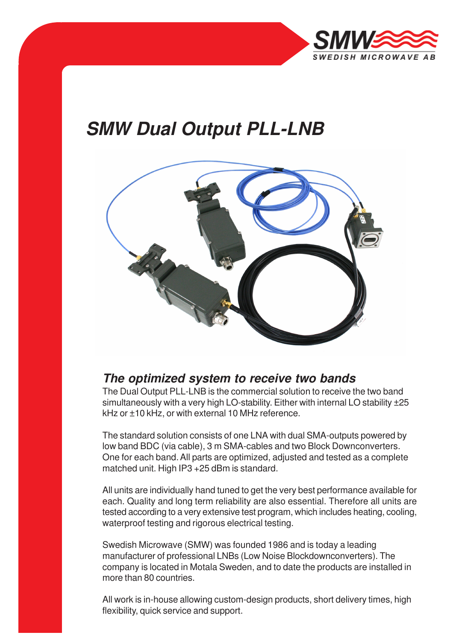

# **SMW Dual Output PLL-LNB**



### **The optimized system to receive two bands**

The Dual Output PLL-LNB is the commercial solution to receive the two band simultaneously with a very high LO-stability. Either with internal LO stability  $\pm 25$ kHz or ±10 kHz, or with external 10 MHz reference.

The standard solution consists of one LNA with dual SMA-outputs powered by low band BDC (via cable), 3 m SMA-cables and two Block Downconverters. One for each band. All parts are optimized, adjusted and tested as a complete matched unit. High IP3 +25 dBm is standard.

All units are individually hand tuned to get the very best performance available for each. Quality and long term reliability are also essential. Therefore all units are tested according to a very extensive test program, which includes heating, cooling, waterproof testing and rigorous electrical testing.

Swedish Microwave (SMW) was founded 1986 and is today a leading manufacturer of professional LNBs (Low Noise Blockdownconverters). The company is located in Motala Sweden, and to date the products are installed in more than 80 countries.

All work is in-house allowing custom-design products, short delivery times, high flexibility, quick service and support.